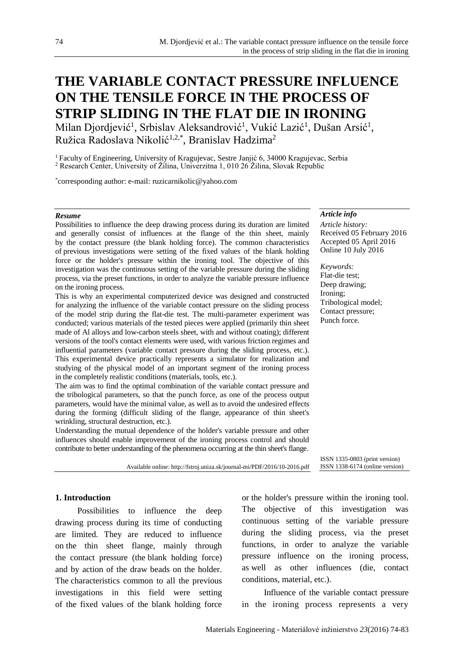# **THE VARIABLE CONTACT PRESSURE INFLUENCE ON THE TENSILE FORCE IN THE PROCESS OF STRIP SLIDING IN THE FLAT DIE IN IRONING**

Milan Djordjević<sup>1</sup>, Srbislav Aleksandrović<sup>1</sup>, Vukić Lazić<sup>1</sup>, Dušan Arsić<sup>1</sup>, Ružica Radoslava Nikolić1,2,\*, Branislav Hadzima<sup>2</sup>

<sup>1</sup> Faculty of Engineering, University of Kragujevac, Sestre Janjić 6, 34000 Kragujevac, Serbia <sup>2</sup> Research Center, University of Žilina, Univerzitna 1, 010 26 Žilina, Slovak Republic

\* corresponding author: e-mail: ruzicarnikolic@yahoo.com

#### *Resume*

Possibilities to influence the deep drawing process during its duration are limited and generally consist of influences at the flange of the thin sheet, mainly by the contact pressure (the blank holding force). The common characteristics of previous investigations were setting of the fixed values of the blank holding force or the holder's pressure within the ironing tool. The objective of this investigation was the continuous setting of the variable pressure during the sliding process, via the preset functions, in order to analyze the variable pressure influence on the ironing process.

This is why an experimental computerized device was designed and constructed for analyzing the influence of the variable contact pressure on the sliding process of the model strip during the flat-die test. The multi-parameter experiment was conducted; various materials of the tested pieces were applied (primarily thin sheet made of Al alloys and low-carbon steels sheet, with and without coating); different versions of the tool's contact elements were used, with various friction regimes and influential parameters (variable contact pressure during the sliding process, etc.). This experimental device practically represents a simulator for realization and studying of the physical model of an important segment of the ironing process in the completely realistic conditions (materials, tools, etc.).

The aim was to find the optimal combination of the variable contact pressure and the tribological parameters, so that the punch force, as one of the process output parameters, would have the minimal value, as well as to avoid the undesired effects during the forming (difficult sliding of the flange, appearance of thin sheet's wrinkling, structural destruction, etc.).

Understanding the mutual dependence of the holder's variable pressure and other influences should enable improvement of the ironing process control and should contribute to better understanding of the phenomena occurring at the thin sheet's flange.

Available online: http://fstroj.uniza.sk/journal-mi/PDF/2016/10-2016.pdf

## *Article info*

*Article history:* Received 05 February 2016 Accepted 05 April 2016 Online 10 July 2016

*Keywords:* Flat-die test; Deep drawing; Ironing; Tribological model; Contact pressure; Punch force.

ISSN 1335-0803 (print version) ISSN 1338-6174 (online version)

## **1. Introduction**

Possibilities to influence the deep drawing process during its time of conducting are limited. They are reduced to influence on the thin sheet flange, mainly through the contact pressure (the blank holding force) and by action of the draw beads on the holder. The characteristics common to all the previous investigations in this field were setting of the fixed values of the blank holding force or the holder's pressure within the ironing tool. The objective of this investigation was continuous setting of the variable pressure during the sliding process, via the preset functions, in order to analyze the variable pressure influence on the ironing process, as well as other influences (die, contact conditions, material, etc.).

Influence of the variable contact pressure in the ironing process represents a very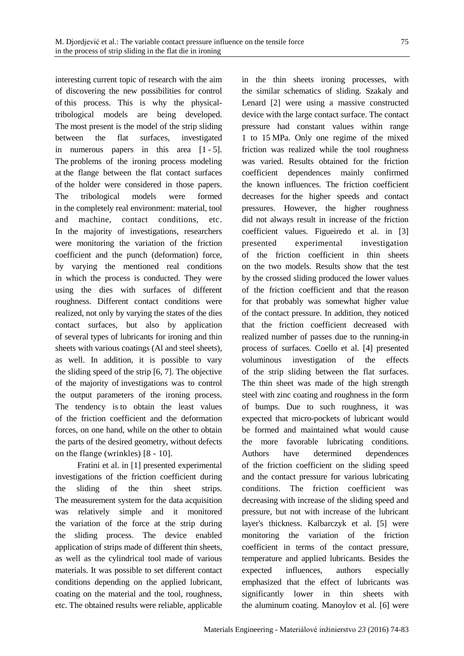interesting current topic of research with the aim of discovering the new possibilities for control of this process. This is why the physicaltribological models are being developed. The most present is the model of the strip sliding between the flat surfaces, investigated in numerous papers in this area [1 - 5]. The problems of the ironing process modeling at the flange between the flat contact surfaces of the holder were considered in those papers. The tribological models were formed in the completely real environment: material, tool and machine, contact conditions, etc. In the majority of investigations, researchers were monitoring the variation of the friction coefficient and the punch (deformation) force, by varying the mentioned real conditions in which the process is conducted. They were using the dies with surfaces of different roughness. Different contact conditions were realized, not only by varying the states of the dies contact surfaces, but also by application of several types of lubricants for ironing and thin sheets with various coatings (Al and steel sheets), as well. In addition, it is possible to vary the sliding speed of the strip [6, 7]. The objective of the majority of investigations was to control the output parameters of the ironing process. The tendency is to obtain the least values of the friction coefficient and the deformation forces, on one hand, while on the other to obtain the parts of the desired geometry, without defects on the flange (wrinkles) [8 - 10].

Fratini et al. in [1] presented experimental investigations of the friction coefficient during the sliding of the thin sheet strips. The measurement system for the data acquisition was relatively simple and it monitored the variation of the force at the strip during the sliding process. The device enabled application of strips made of different thin sheets, as well as the cylindrical tool made of various materials. It was possible to set different contact conditions depending on the applied lubricant, coating on the material and the tool, roughness, etc. The obtained results were reliable, applicable

in the thin sheets ironing processes, with the similar schematics of sliding. Szakaly and Lenard [2] were using a massive constructed device with the large contact surface. The contact pressure had constant values within range 1 to 15 MPa. Only one regime of the mixed friction was realized while the tool roughness was varied. Results obtained for the friction coefficient dependences mainly confirmed the known influences. The friction coefficient decreases for the higher speeds and contact pressures. However, the higher roughness did not always result in increase of the friction coefficient values. Figueiredo et al. in [3] presented experimental investigation of the friction coefficient in thin sheets on the two models. Results show that the test by the crossed sliding produced the lower values of the friction coefficient and that the reason for that probably was somewhat higher value of the contact pressure. In addition, they noticed that the friction coefficient decreased with realized number of passes due to the running-in process of surfaces. Coello et al. [4] presented voluminous investigation of the effects of the strip sliding between the flat surfaces. The thin sheet was made of the high strength steel with zinc coating and roughness in the form of bumps. Due to such roughness, it was expected that micro-pockets of lubricant would be formed and maintained what would cause the more favorable lubricating conditions. Authors have determined dependences of the friction coefficient on the sliding speed and the contact pressure for various lubricating conditions. The friction coefficient was decreasing with increase of the sliding speed and pressure, but not with increase of the lubricant layer's thickness. Kalbarczyk et al. [5] were monitoring the variation of the friction coefficient in terms of the contact pressure, temperature and applied lubricants. Besides the expected influences, authors especially emphasized that the effect of lubricants was significantly lower in thin sheets with the aluminum coating. Manoylov et al. [6] were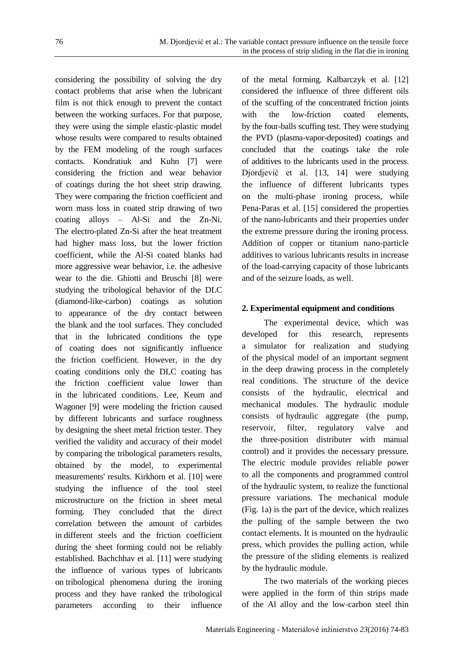considering the possibility of solving the dry contact problems that arise when the lubricant film is not thick enough to prevent the contact between the working surfaces. For that purpose, they were using the simple elastic-plastic model whose results were compared to results obtained by the FEM modeling of the rough surfaces contacts. Kondratiuk and Kuhn [7] were considering the friction and wear behavior of coatings during the hot sheet strip drawing. They were comparing the friction coefficient and worn mass loss in coated strip drawing of two coating alloys – Al-Si and the Zn-Ni. The electro-plated Zn-Si after the heat treatment had higher mass loss, but the lower friction coefficient, while the Al-Si coated blanks had more aggressive wear behavior, i.e. the adhesive wear to the die. Ghiotti and Bruschi [8] were studying the tribological behavior of the DLC (diamond-like-carbon) coatings as solution to appearance of the dry contact between the blank and the tool surfaces. They concluded that in the lubricated conditions the type of coating does not significantly influence the friction coefficient. However, in the dry coating conditions only the DLC coating has the friction coefficient value lower than in the lubricated conditions. Lee, Keum and Wagoner [9] were modeling the friction caused by different lubricants and surface roughness by designing the sheet metal friction tester. They verified the validity and accuracy of their model by comparing the tribological parameters results, obtained by the model, to experimental measurements' results. Kirkhorn et al. [10] were studying the influence of the tool steel microstructure on the friction in sheet metal forming. They concluded that the direct correlation between the amount of carbides in different steels and the friction coefficient during the sheet forming could not be reliably established. Bachchhav et al. [11] were studying the influence of various types of lubricants on tribological phenomena during the ironing process and they have ranked the tribological parameters according to their influence

of the metal forming. Kalbarczyk et al. [12] considered the influence of three different oils of the scuffing of the concentrated friction joints with the low-friction coated elements, by the four-balls scuffing test. They were studying the PVD (plasma-vapor-deposited) coatings and concluded that the coatings take the role of additives to the lubricants used in the process. Djordjević et al. [13, 14] were studying the influence of different lubricants types on the multi-phase ironing process, while Pena-Paras et al. [15] considered the properties of the nano-lubricants and their properties under the extreme pressure during the ironing process. Addition of copper or titanium nano-particle additives to various lubricants results in increase of the load-carrying capacity of those lubricants and of the seizure loads, as well.

## **2. Experimental equipment and conditions**

The experimental device, which was developed for this research, represents a simulator for realization and studying of the physical model of an important segment in the deep drawing process in the completely real conditions. The structure of the device consists of the hydraulic, electrical and mechanical modules. The hydraulic module consists of hydraulic aggregate (the pump, reservoir, filter, regulatory valve and the three-position distributer with manual control) and it provides the necessary pressure. The electric module provides reliable power to all the components and programmed control of the hydraulic system, to realize the functional pressure variations. The mechanical module (Fig. 1a) is the part of the device, which realizes the pulling of the sample between the two contact elements. It is mounted on the hydraulic press, which provides the pulling action, while the pressure of the sliding elements is realized by the hydraulic module.

The two materials of the working pieces were applied in the form of thin strips made of the Al alloy and the low-carbon steel thin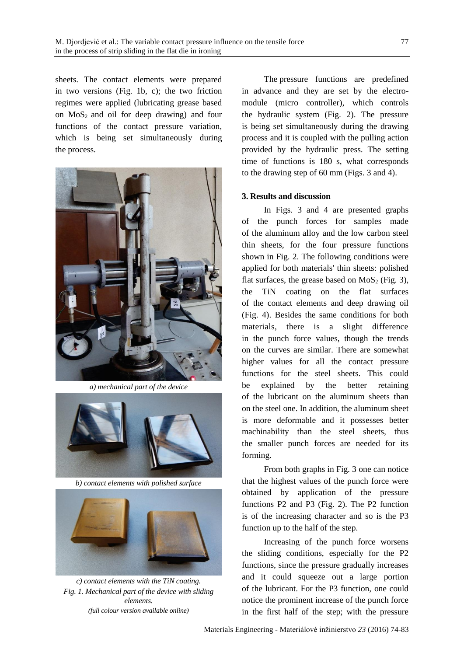sheets. The contact elements were prepared in two versions (Fig. 1b, c); the two friction regimes were applied (lubricating grease based on  $MoS<sub>2</sub>$  and oil for deep drawing) and four functions of the contact pressure variation, which is being set simultaneously during the process.



*a) mechanical part of the device*



*b) contact elements with polished surface*



*c) contact elements with the TiN coating. Fig. 1. Mechanical part of the device with sliding elements. (full colour version available online)*

The pressure functions are predefined in advance and they are set by the electromodule (micro controller), which controls the hydraulic system (Fig. 2). The pressure is being set simultaneously during the drawing process and it is coupled with the pulling action provided by the hydraulic press. The setting time of functions is 180 s, what corresponds to the drawing step of 60 mm (Figs. 3 and 4).

## **3. Results and discussion**

In Figs. 3 and 4 are presented graphs of the punch forces for samples made of the aluminum alloy and the low carbon steel thin sheets, for the four pressure functions shown in Fig. 2. The following conditions were applied for both materials' thin sheets: polished flat surfaces, the grease based on  $MoS<sub>2</sub>$  (Fig. 3), the TiN coating on the flat surfaces of the contact elements and deep drawing oil (Fig. 4). Besides the same conditions for both materials, there is a slight difference in the punch force values, though the trends on the curves are similar. There are somewhat higher values for all the contact pressure functions for the steel sheets. This could be explained by the better retaining of the lubricant on the aluminum sheets than on the steel one. In addition, the aluminum sheet is more deformable and it possesses better machinability than the steel sheets, thus the smaller punch forces are needed for its forming.

From both graphs in Fig. 3 one can notice that the highest values of the punch force were obtained by application of the pressure functions P2 and P3 (Fig. 2). The P2 function is of the increasing character and so is the P3 function up to the half of the step.

Increasing of the punch force worsens the sliding conditions, especially for the P2 functions, since the pressure gradually increases and it could squeeze out a large portion of the lubricant. For the P3 function, one could notice the prominent increase of the punch force in the first half of the step; with the pressure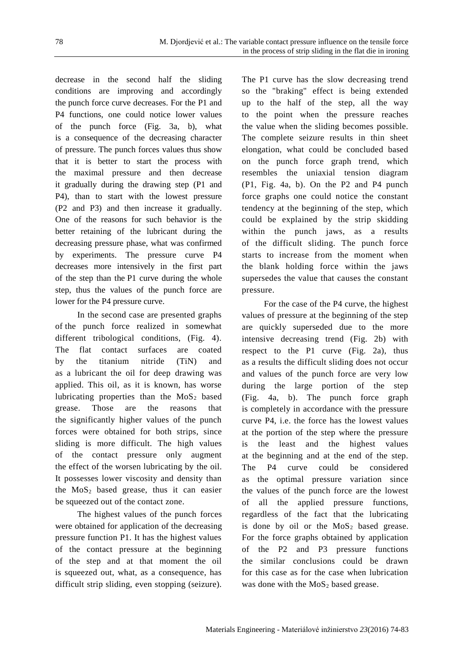decrease in the second half the sliding conditions are improving and accordingly the punch force curve decreases. For the P1 and P4 functions, one could notice lower values of the punch force (Fig. 3a, b), what is a consequence of the decreasing character of pressure. The punch forces values thus show that it is better to start the process with the maximal pressure and then decrease it gradually during the drawing step (P1 and P4), than to start with the lowest pressure (P2 and P3) and then increase it gradually. One of the reasons for such behavior is the better retaining of the lubricant during the decreasing pressure phase, what was confirmed by experiments. The pressure curve P4 decreases more intensively in the first part of the step than the P1 curve during the whole step, thus the values of the punch force are lower for the P4 pressure curve.

In the second case are presented graphs of the punch force realized in somewhat different tribological conditions, (Fig. 4). The flat contact surfaces are coated by the titanium nitride (TiN) and as a lubricant the oil for deep drawing was applied. This oil, as it is known, has worse lubricating properties than the  $MoS<sub>2</sub>$  based grease. Those are the reasons that the significantly higher values of the punch forces were obtained for both strips, since sliding is more difficult. The high values of the contact pressure only augment the effect of the worsen lubricating by the oil. It possesses lower viscosity and density than the  $MoS<sub>2</sub>$  based grease, thus it can easier be squeezed out of the contact zone.

The highest values of the punch forces were obtained for application of the decreasing pressure function P1. It has the highest values of the contact pressure at the beginning of the step and at that moment the oil is squeezed out, what, as a consequence, has difficult strip sliding, even stopping (seizure).

The P1 curve has the slow decreasing trend so the "braking" effect is being extended up to the half of the step, all the way to the point when the pressure reaches the value when the sliding becomes possible. The complete seizure results in thin sheet elongation, what could be concluded based on the punch force graph trend, which resembles the uniaxial tension diagram (P1, Fig. 4a, b). On the P2 and P4 punch force graphs one could notice the constant tendency at the beginning of the step, which could be explained by the strip skidding within the punch jaws, as a results of the difficult sliding. The punch force starts to increase from the moment when the blank holding force within the jaws supersedes the value that causes the constant pressure.

For the case of the P4 curve, the highest values of pressure at the beginning of the step are quickly superseded due to the more intensive decreasing trend (Fig. 2b) with respect to the P1 curve (Fig. 2a), thus as a results the difficult sliding does not occur and values of the punch force are very low during the large portion of the step (Fig. 4a, b). The punch force graph is completely in accordance with the pressure curve P4, i.e. the force has the lowest values at the portion of the step where the pressure is the least and the highest values at the beginning and at the end of the step. The P4 curve could be considered as the optimal pressure variation since the values of the punch force are the lowest of all the applied pressure functions, regardless of the fact that the lubricating is done by oil or the  $MoS<sub>2</sub>$  based grease. For the force graphs obtained by application of the P2 and P3 pressure functions the similar conclusions could be drawn for this case as for the case when lubrication was done with the  $MoS<sub>2</sub>$  based grease.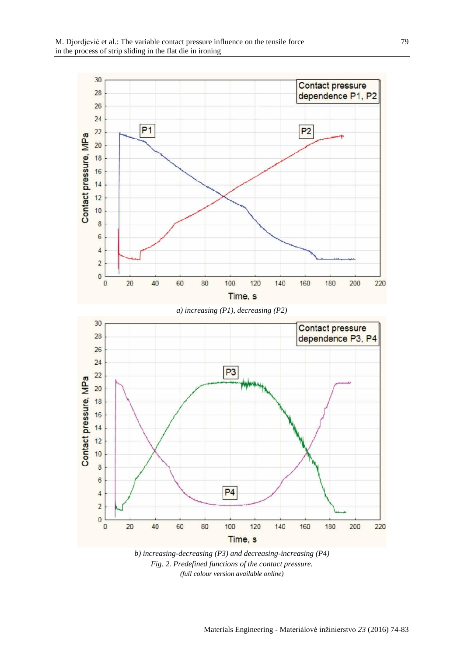

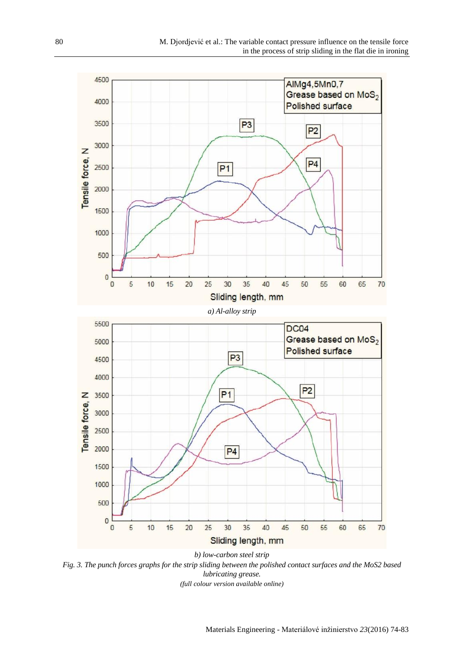

*Fig. 3. The punch forces graphs for the strip sliding between the polished contact surfaces and the MoS2 based lubricating grease. (full colour version available online)*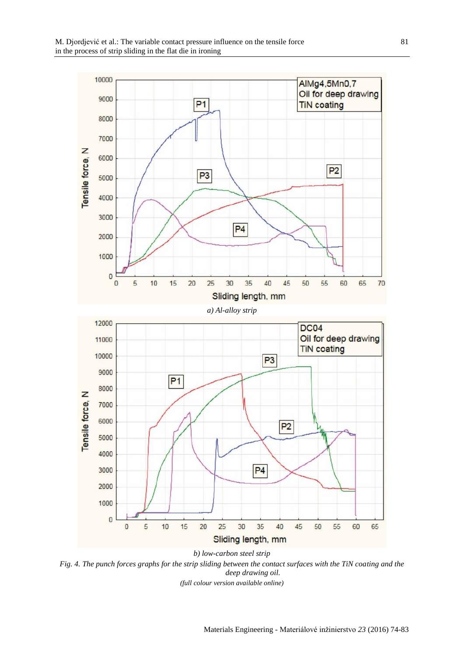

*Fig. 4. The punch forces graphs for the strip sliding between the contact surfaces with the TiN coating and the deep drawing oil. (full colour version available online)*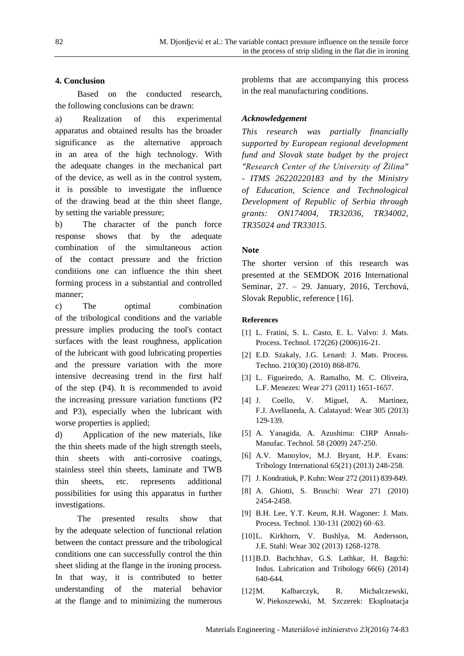## **4. Conclusion**

Based on the conducted research, the following conclusions can be drawn:

a) Realization of this experimental apparatus and obtained results has the broader significance as the alternative approach in an area of the high technology. With the adequate changes in the mechanical part of the device, as well as in the control system, it is possible to investigate the influence of the drawing bead at the thin sheet flange, by setting the variable pressure;

b) The character of the punch force response shows that by the adequate combination of the simultaneous action of the contact pressure and the friction conditions one can influence the thin sheet forming process in a substantial and controlled manner;

c) The optimal combination of the tribological conditions and the variable pressure implies producing the tool's contact surfaces with the least roughness, application of the lubricant with good lubricating properties and the pressure variation with the more intensive decreasing trend in the first half of the step (P4). It is recommended to avoid the increasing pressure variation functions (P2 and P3), especially when the lubricant with worse properties is applied;

d) Application of the new materials, like the thin sheets made of the high strength steels, thin sheets with anti-corrosive coatings, stainless steel thin sheets, laminate and TWB thin sheets, etc. represents additional possibilities for using this apparatus in further investigations.

The presented results show that by the adequate selection of functional relation between the contact pressure and the tribological conditions one can successfully control the thin sheet sliding at the flange in the ironing process. In that way, it is contributed to better understanding of the material behavior at the flange and to minimizing the numerous

problems that are accompanying this process in the real manufacturing conditions.

# *Acknowledgement*

*This research was partially financially supported by European regional development fund and Slovak state budget by the project "Research Center of the University of Žilina" - ITMS 26220220183 and by the Ministry of Education, Science and Technological Development of Republic of Serbia through grants: ON174004, TR32036, TR34002, TR35024 and TR33015.*

# **Note**

The shorter version of this research was presented at the SEMDOK 2016 International Seminar, 27. – 29. January, 2016, Terchová, Slovak Republic, reference [16].

## **References**

- [1] L. Fratini, S. L. Casto, E. L. Valvo: J. Mats. Process. Technol. 172(26) (2006)16-21.
- [2] E.D. Szakaly, J.G. Lenard: J. Mats. Process. Techno. 210(30) (2010) 868-876.
- [3] L. Figueiredo, A. Ramalho, M. C. Oliveira, L.F. Menezes: Wear 271 (2011) 1651-1657.
- [4] J. Coello, V. Miguel, A. Martinez, F.J. Avellaneda, A. Calatayud: Wear 305 (2013) 129-139.
- [5] A. Yanagida, A. Azushima: CIRP Annals-Manufac. Technol. 58 (2009) 247-250.
- [6] A.V. Manoylov, M.J. Bryant, H.P. Evans: Tribology International 65(21) (2013) 248-258.
- [7] J. Kondratiuk, P. Kuhn: Wear 272 (2011) 839-849.
- [8] A. Ghiotti, S. Bruschi: Wear 271 (2010) 2454-2458.
- [9] B.H. Lee, Y.T. Keum, R.H. Wagoner: J. Mats. Process. Technol. 130-131 (2002) 60–63.
- [10]L. Kirkhorn, V. Bushlya, M. Andersson, J.E. Stahl: Wear 302 (2013) 1268-1278.
- [11]B.D. Bachchhav, G.S. Lathkar, H. Bagchi: Indus. Lubrication and Tribology 66(6) (2014) 640-644.
- [12]M. Kalbarczyk, R. Michalczewski, W. Piekoszewski, M. Szczerek: Eksploatacja